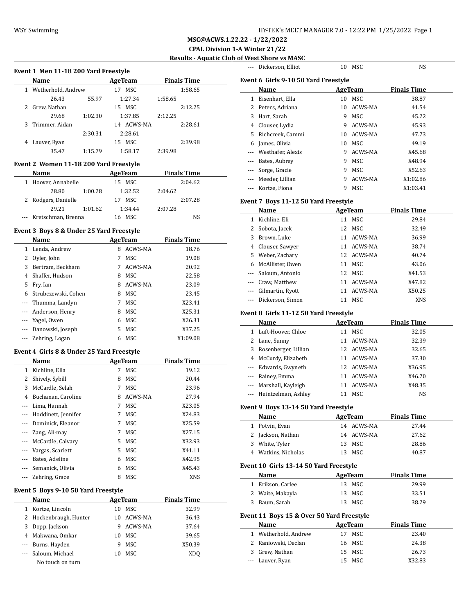**MSC@ACWS.1.22.22 - 1/22/2022 CPAL Division 1-A Winter 21/22**

# **Shore vs MASC**

|                          |                                                |         |                   |                    | MSC@ACWS.1.22.22 - 1/22/2022          |     |                                                     |                |                    |
|--------------------------|------------------------------------------------|---------|-------------------|--------------------|---------------------------------------|-----|-----------------------------------------------------|----------------|--------------------|
|                          |                                                |         |                   |                    | <b>CPAL Division 1-A Winter 21/22</b> |     |                                                     |                |                    |
|                          |                                                |         |                   |                    |                                       |     | <b>Results - Aquatic Club of West Shore vs MASC</b> |                |                    |
|                          | Event 1 Men 11-18 200 Yard Freestyle           |         |                   |                    |                                       |     | --- Dickerson, Elliot                               | 10 MSC         | <b>NS</b>          |
|                          | Name                                           |         | <b>AgeTeam</b>    | <b>Finals Time</b> |                                       |     | Event 6 Girls 9-10 50 Yard Freestyle                |                |                    |
|                          | 1 Wetherhold, Andrew                           |         | 17 MSC            |                    | 1:58.65                               |     | Name                                                | <b>AgeTeam</b> | <b>Finals Time</b> |
|                          | 26.43                                          | 55.97   | 1:27.34           | 1:58.65            |                                       |     | 1 Eisenhart, Ella                                   | 10 MSC         | 38.87              |
|                          | 2 Grew, Nathan                                 |         | 15 MSC            |                    | 2:12.25                               |     | 2 Peters, Adriana                                   | 10 ACWS-MA     | 41.54              |
|                          | 29.68                                          | 1:02.30 | 1:37.85           | 2:12.25            |                                       | 3   | Hart, Sarah                                         | 9 MSC          | 45.22              |
| 3                        | Trimmer, Aidan                                 |         | 14 ACWS-MA        |                    | 2:28.61                               | 4   | Clouser, Lydia                                      | 9 ACWS-MA      | 45.93              |
|                          |                                                | 2:30.31 | 2:28.61           |                    |                                       | 5   | Richcreek, Cammi                                    | 10 ACWS-MA     | 47.73              |
|                          | 4 Lauver, Ryan                                 |         | 15 MSC            |                    | 2:39.98                               | 6   | James, Olivia                                       | 10 MSC         | 49.19              |
|                          | 35.47                                          | 1:15.79 | 1:58.17           | 2:39.98            |                                       |     | Westhafer, Alexis                                   | 9 ACWS-MA      | X45.68             |
|                          |                                                |         |                   |                    |                                       |     | Bates, Aubrey                                       | 9 MSC          | X48.94             |
|                          | Event 2 Women 11-18 200 Yard Freestyle<br>Name |         |                   | <b>Finals Time</b> |                                       |     | Sorge, Gracie                                       | 9 MSC          | X52.63             |
|                          |                                                |         | <b>AgeTeam</b>    |                    |                                       |     | Meeder, Lillian                                     | 9 ACWS-MA      | X1:02.86           |
|                          | 1 Hoover, Annabelle<br>28.80                   | 1:00.28 | 15 MSC<br>1:32.52 | 2:04.62            | 2:04.62                               | --- | Kortze, Fiona                                       | 9 MSC          | X1:03.41           |
|                          | 2 Rodgers, Danielle                            |         | 17 MSC            |                    | 2:07.28                               |     |                                                     |                |                    |
|                          | 29.21                                          | 1:01.62 | 1:34.44           | 2:07.28            |                                       |     | Event 7 Boys 11-12 50 Yard Freestyle                |                |                    |
|                          | --- Kretschman, Brenna                         |         | 16 MSC            |                    | <b>NS</b>                             |     | Name                                                | AgeTeam        | <b>Finals Time</b> |
|                          |                                                |         |                   |                    |                                       |     | 1 Kichline, Eli                                     | 11 MSC         | 29.84              |
|                          | Event 3 Boys 8 & Under 25 Yard Freestyle       |         |                   |                    |                                       | 2   | Sobota, Jacek                                       | 12 MSC         | 32.49              |
|                          | Name                                           |         | <b>AgeTeam</b>    | <b>Finals Time</b> |                                       | 3   | Brown, Luke                                         | 11 ACWS-MA     | 36.99              |
|                          | 1 Lenda, Andrew                                |         | 8 ACWS-MA         |                    | 18.76                                 | 4   | Clouser, Sawyer                                     | 11 ACWS-MA     | 38.74              |
|                          | 2 Oyler, John                                  |         | 7 MSC             |                    | 19.08                                 | 5   | Weber, Zachary                                      | 12 ACWS-MA     | 40.74              |
| 3                        | Bertram, Beckham                               |         | 7 ACWS-MA         |                    | 20.92                                 | 6   | McAllister, Owen                                    | 11 MSC         | 43.06              |
| 4                        | Shaffer, Hudson                                |         | MSC<br>8          |                    | 22.58                                 |     | Saloum, Antonio                                     | 12 MSC         | X41.53             |
| 5                        | Fry, Ian                                       |         | ACWS-MA<br>8      |                    | 23.09                                 | $-$ | Craw, Matthew                                       | 11 ACWS-MA     | X47.82             |
| 6                        | Strubczewski, Cohen                            |         | MSC<br>8          |                    | 23.45                                 | --- | Gilmartin, Ryott                                    | 11 ACWS-MA     | X50.25             |
| $\overline{a}$           | Thumma, Landyn                                 |         | 7 MSC             |                    | X23.41                                | --- | Dickerson, Simon                                    | 11 MSC         | <b>XNS</b>         |
| $\overline{a}$           | Anderson, Henry                                |         | <b>MSC</b><br>8   |                    | X25.31                                |     | Event 8 Girls 11-12 50 Yard Freestyle               |                |                    |
| $\overline{\phantom{a}}$ | Yagel, Owen                                    |         | MSC<br>6          |                    | X26.31                                |     | Name                                                | AgeTeam        | <b>Finals Time</b> |
| $\sim$                   | Danowski, Joseph                               |         | 5 MSC             |                    | X37.25                                |     | 1 Luft-Hoover, Chloe                                | 11 MSC         | 32.05              |
| $\overline{a}$           | Zehring, Logan                                 |         | MSC<br>6          |                    | X1:09.08                              |     | 2 Lane, Sunny                                       | 11 ACWS-MA     | 32.39              |
|                          |                                                |         |                   |                    |                                       | 3   | Rosenberger, Lillian                                | 12 ACWS-MA     | 32.65              |
|                          | Event 4 Girls 8 & Under 25 Yard Freestyle      |         |                   |                    |                                       | 4   | McCurdy, Elizabeth                                  | 11 ACWS-MA     | 37.30              |
|                          | Name                                           |         | <b>AgeTeam</b>    | <b>Finals Time</b> |                                       | --- | Edwards, Gwyneth                                    | 12 ACWS-MA     | X36.95             |
|                          | 1 Kichline, Ella                               |         | 7 MSC             |                    | 19.12                                 | --- | Rainey, Emma                                        | 11 ACWS-MA     | X46.70             |
| 2                        | Shively, Sybill                                |         | MSC<br>8          |                    | 20.44                                 | --- | Marshall, Kayleigh                                  | 11 ACWS-MA     | X48.35             |
| 3                        | McCardle, Selah                                |         | 7 MSC             |                    | 23.96                                 | --- | Heintzelman, Ashley                                 | 11 MSC         | <b>NS</b>          |
| $\overline{4}$           | Buchanan, Caroline                             |         | 8 ACWS-MA         |                    | 27.94                                 |     |                                                     |                |                    |
| $\sim$                   | Lima, Hannah                                   |         | 7 MSC             |                    | X23.05                                |     | Event 9 Boys 13-14 50 Yard Freestyle                |                |                    |
| ---                      | Hoddinett, Jennifer                            |         | 7 MSC             |                    | X24.83                                |     | Name                                                | <b>AgeTeam</b> | <b>Finals Time</b> |
|                          | Dominick, Eleanor                              |         | 7 MSC             |                    | X25.59                                |     | 1 Potvin, Evan                                      | 14 ACWS-MA     | 27.44              |
|                          | $72$ ng Ali may                                |         | $7$ MCC           |                    | V2715                                 |     |                                                     |                |                    |

|                                      | Name              |    | <b>AgeTeam</b> | <b>Finals Time</b> |  |  |  |  |
|--------------------------------------|-------------------|----|----------------|--------------------|--|--|--|--|
| $\mathbf{1}$                         | Eisenhart, Ella   | 10 | MSC            | 38.87              |  |  |  |  |
| 2                                    | Peters, Adriana   | 10 | ACWS-MA        | 41.54              |  |  |  |  |
| 3                                    | Hart, Sarah       | 9  | MSC            | 45.22              |  |  |  |  |
| 4                                    | Clouser, Lydia    | 9  | ACWS-MA        | 45.93              |  |  |  |  |
| 5.                                   | Richcreek, Cammi  | 10 | ACWS-MA        | 47.73              |  |  |  |  |
| 6                                    | James, Olivia     | 10 | MSC            | 49.19              |  |  |  |  |
| ---                                  | Westhafer, Alexis | 9  | ACWS-MA        | X45.68             |  |  |  |  |
|                                      | Bates, Aubrey     | 9  | MSC            | X48.94             |  |  |  |  |
| ---                                  | Sorge, Gracie     | 9  | MSC            | X52.63             |  |  |  |  |
| ---                                  | Meeder, Lillian   | 9  | ACWS-MA        | X1:02.86           |  |  |  |  |
|                                      | Kortze, Fiona     | 9  | MSC            | X1:03.41           |  |  |  |  |
| Event 7 Boys 11-12 50 Yard Freestyle |                   |    |                |                    |  |  |  |  |
|                                      | Name              |    | <b>AgeTeam</b> | <b>Finals Time</b> |  |  |  |  |
| $\mathbf{1}$                         | Kichline, Eli     | 11 | MSC            | 29.84              |  |  |  |  |
| 2                                    | Sobota, Jacek     | 12 | MSC            | 32.49              |  |  |  |  |
| 3                                    | Brown, Luke       | 11 | ACWS-MA        | 36.99              |  |  |  |  |

| J DIUWII. LUNC       |    | TT UNA D-MU | JU.JJ  |
|----------------------|----|-------------|--------|
| 4 Clouser, Sawyer    |    | 11 ACWS-MA  | 38.74  |
| 5 Weber, Zachary     |    | 12 ACWS-MA  | 40.74  |
| 6 McAllister, Owen   | 11 | MSC         | 43.06  |
| --- Saloum, Antonio  | 12 | MSC         | X41.53 |
| --- Craw, Matthew    |    | 11 ACWS-MA  | X47.82 |
| --- Gilmartin, Ryott |    | 11 ACWS-MA  | X50.25 |
| --- Dickerson, Simon |    | MSC         | XNS    |

### Girls 11-12 50 Yard Freestyle

|        | Name                    | AgeTeam       | <b>Finals Time</b> |
|--------|-------------------------|---------------|--------------------|
| 1      | Luft-Hoover, Chloe      | MSC           | 32.05              |
| $^{2}$ | Lane, Sunny             | ACWS-MA       | 32.39              |
| 3      | Rosenberger, Lillian    | 12 ACWS-MA    | 32.65              |
| 4      | McCurdy, Elizabeth      | ACWS-MA<br>11 | 37.30              |
|        | --- Edwards, Gwyneth    | 12 ACWS-MA    | X36.95             |
|        | --- Rainey, Emma        | ACWS-MA       | X46.70             |
|        | --- Marshall, Kayleigh  | ACWS-MA<br>11 | X48.35             |
|        | --- Heintzelman, Ashley | MSC           | <b>NS</b>          |

# **Boys 13-14 50 Yard Freestyle**

|   | Name                | AgeTeam    | <b>Finals Time</b> |
|---|---------------------|------------|--------------------|
|   | Potvin, Evan        | 14 ACWS-MA | 27.44              |
|   | 2 Jackson, Nathan   | 14 ACWS-MA | 27.62              |
| 3 | White, Tyler        | 13 MSC     | 28.86              |
|   | 4 Watkins, Nicholas | MSC        | 40.87              |

### **Event 10 Girls 13-14 50 Yard Freestyle**

| Name              | AgeTeam | <b>Finals Time</b> |
|-------------------|---------|--------------------|
| 1 Erikson, Carlee | 13 MSC  | 29.99              |
| 2 Waite, Makayla  | 13 MSC  | 33.51              |
| 3 Baum, Sarah     | 13 MSC  | 38.29              |

### **Event 11 Boys 15 & Over 50 Yard Freestyle**

| Name                 | AgeTeam | <b>Finals Time</b> |
|----------------------|---------|--------------------|
| 1 Wetherhold, Andrew | 17 MSC  | 23.40              |
| 2 Raniowski, Declan  | 16 MSC  | 24.38              |
| 3 Grew, Nathan       | 15 MSC  | 26.73              |
| --- Lauver, Ryan     | 15 MSC  | X32.83             |

|          | маше                |    | леетеаш    | гицанэ типе |
|----------|---------------------|----|------------|-------------|
|          | Kichline, Ella      | 7  | MSC        | 19.12       |
| 2        | Shively, Sybill     | 8  | MSC        | 20.44       |
| 3        | McCardle, Selah     | 7  | MSC        | 23.96       |
| 4        | Buchanan, Caroline  | 8  | ACWS-MA    | 27.94       |
|          | Lima, Hannah        | 7  | MSC        | X23.05      |
|          | Hoddinett, Jennifer | 7  | MSC        | X24.83      |
|          | Dominick, Eleanor   | 7  | MSC        | X25.59      |
|          | Zang, Ali-may       | 7  | MSC        | X27.15      |
| $\cdots$ | McCardle, Calvary   | 5. | MSC        | X32.93      |
| ---      | Vargas, Scarlett    | 5. | MSC        | X41.11      |
| $\cdots$ | Bates, Adeline      | 6  | MSC        | X42.95      |
|          | Semanick, Olivia    | 6  | MSC        | X45.43      |
|          | Zehring, Grace      | 8  | <b>MSC</b> | <b>XNS</b>  |

### **Event 5 Boys 9-10 50 Yard Freestyle**

|   | <b>Name</b>                     |     | AgeTeam    | <b>Finals Time</b> |  |
|---|---------------------------------|-----|------------|--------------------|--|
| 1 | Kortze, Lincoln                 | 10  | MSC        | 32.99              |  |
|   | 2 Hockenbraugh, Hunter          |     | 10 ACWS-MA | 36.43              |  |
| 3 | Dopp, Jackson                   | 9   | ACWS-MA    | 37.64              |  |
|   | 4 Makwana, Omkar                | 10  | MSC        | 39.65              |  |
|   | --- Burns, Hayden               | 9   | MSC        | X50.39             |  |
|   | --- Saloum, Michael             | 10. | MSC        | XD <sub>0</sub>    |  |
|   | $M = 1$ and $M = 1$ and $M = 1$ |     |            |                    |  |

No touch on turn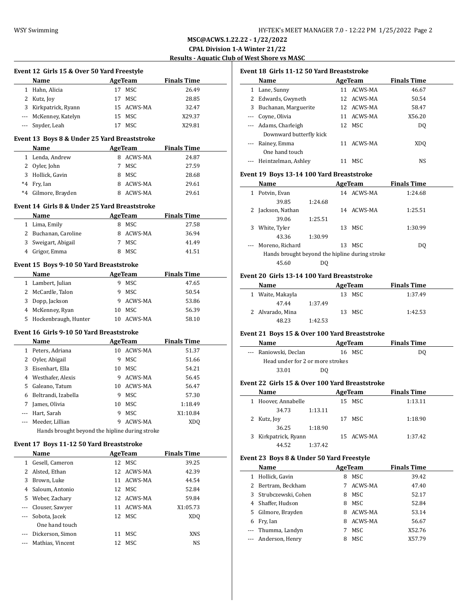**Event 12 Girls 15 & Over 50 Yard Freestyle**

**MSC@ACWS.1.22.22 - 1/22/2022 CPAL Division 1-A Winter 21/22 Results - Aquatic Club of West Shore vs MASC**

 $\overline{\phantom{a}}$ 

 $\frac{1}{2}$ 

|                                                                                                                           | Name                                           |         | <b>AgeTeam</b> | <b>Finals Time</b> |  |
|---------------------------------------------------------------------------------------------------------------------------|------------------------------------------------|---------|----------------|--------------------|--|
| 1                                                                                                                         | Hahn, Alicia                                   | 17      | MSC            | 26.49              |  |
|                                                                                                                           | 2 Kutz, Joy                                    |         | 17 MSC         | 28.85              |  |
| 3                                                                                                                         | Kirkpatrick, Ryann                             |         | 15 ACWS-MA     | 32.47              |  |
|                                                                                                                           | --- McKenney, Katelyn                          |         | 15 MSC         | X29.37             |  |
| $\frac{1}{2} \left( \frac{1}{2} \right) \left( \frac{1}{2} \right) \left( \frac{1}{2} \right) \left( \frac{1}{2} \right)$ | Snyder, Leah                                   |         | 17 MSC         | X29.81             |  |
|                                                                                                                           |                                                |         |                |                    |  |
|                                                                                                                           | Event 13 Boys 8 & Under 25 Yard Breaststroke   |         |                |                    |  |
|                                                                                                                           | Name                                           | AgeTeam |                | <b>Finals Time</b> |  |
|                                                                                                                           | 1 Lenda, Andrew                                |         | 8 ACWS-MA      | 24.87              |  |
|                                                                                                                           | 2 Oyler, John                                  |         | 7 MSC          | 27.59              |  |
|                                                                                                                           | 3 Hollick, Gavin                               |         | 8 MSC          | 28.68              |  |
|                                                                                                                           | *4 Fry, Ian                                    |         | 8 ACWS-MA      | 29.61              |  |
| $*4$                                                                                                                      | Gilmore, Brayden                               |         | 8 ACWS-MA      | 29.61              |  |
|                                                                                                                           | Event 14 Girls 8 & Under 25 Yard Breaststroke  |         |                |                    |  |
|                                                                                                                           | Name                                           |         | AgeTeam        | <b>Finals Time</b> |  |
|                                                                                                                           | 1 Lima, Emily                                  |         | 8 MSC          | 27.58              |  |
|                                                                                                                           | 2 Buchanan, Caroline                           |         | 8 ACWS-MA      | 36.94              |  |
|                                                                                                                           | 3 Sweigart, Abigail                            |         | 7 MSC          | 41.49              |  |
|                                                                                                                           | 4 Grigor, Emma                                 |         | 8 MSC          | 41.51              |  |
|                                                                                                                           | Event 15 Boys 9-10 50 Yard Breaststroke        |         |                |                    |  |
|                                                                                                                           | <b>Name</b>                                    |         | AgeTeam        | <b>Finals Time</b> |  |
|                                                                                                                           | 1 Lambert, Julian                              |         | 9 MSC          | 47.65              |  |
|                                                                                                                           | 2 McCardle, Talon                              |         | 9 MSC          | 50.54              |  |
|                                                                                                                           |                                                |         | 9 ACWS-MA      | 53.86              |  |
|                                                                                                                           | 3 Dopp, Jackson                                |         |                |                    |  |
|                                                                                                                           | 4 McKenney, Ryan                               |         | 10 MSC         | 56.39              |  |
| 5                                                                                                                         | Hockenbraugh, Hunter                           |         | 10 ACWS-MA     | 58.10              |  |
|                                                                                                                           | Event 16 Girls 9-10 50 Yard Breaststroke       |         |                |                    |  |
|                                                                                                                           | Name                                           |         | AgeTeam        | <b>Finals Time</b> |  |
|                                                                                                                           | 1 Peters, Adriana                              |         | 10 ACWS-MA     | 51.37              |  |
|                                                                                                                           | 2 Oyler, Abigail                               |         | 9 MSC          | 51.66              |  |
|                                                                                                                           | 3 Eisenhart, Ella                              |         | 10 MSC         | 54.21              |  |
|                                                                                                                           | 4 Westhafer, Alexis                            |         | 9 ACWS-MA      | 56.45              |  |
|                                                                                                                           | 5 Galeano, Tatum                               |         | 10 ACWS-MA     | 56.47              |  |
|                                                                                                                           | 6 Beltrandi, Izabella                          |         | 9 MSC          | 57.30              |  |
|                                                                                                                           | 7 James, Olivia                                |         | 10 MSC         | 1:18.49            |  |
|                                                                                                                           | --- Hart, Sarah                                |         | 9 MSC          | X1:10.84           |  |
| $\cdots$                                                                                                                  | Meeder, Lillian                                |         | 9 ACWS-MA      | <b>XDQ</b>         |  |
|                                                                                                                           | Hands brought beyond the hipline during stroke |         |                |                    |  |
|                                                                                                                           | Event 17 Boys 11-12 50 Yard Breaststroke       |         |                |                    |  |
|                                                                                                                           | Name                                           |         | AgeTeam        | <b>Finals Time</b> |  |
| $1 \quad$                                                                                                                 | Gesell, Cameron                                | 12      | <b>MSC</b>     | 39.25              |  |
|                                                                                                                           | 2 Alsted, Ethan                                | 12      | ACWS-MA        | 42.39              |  |
|                                                                                                                           | 3 Brown, Luke                                  |         | 11 ACWS-MA     | 44.54              |  |
|                                                                                                                           | 4 Saloum, Antonio                              |         | 12 MSC         | 52.84              |  |
| 5                                                                                                                         | Weber, Zachary                                 |         | 12 ACWS-MA     | 59.84              |  |
|                                                                                                                           | --- Clouser, Sawyer                            | 11      | ACWS-MA        | X1:05.73           |  |
| ---                                                                                                                       | Sobota, Jacek                                  | 12      | MSC            | <b>XDQ</b>         |  |
|                                                                                                                           | One hand touch                                 |         |                |                    |  |
|                                                                                                                           | Dickerson, Simon                               |         | 11 MSC         | XNS                |  |
|                                                                                                                           |                                                |         |                |                    |  |

--- Mathias, Vincent 12 MSC NS

#### **Event 18 Girls 11-12 50 Yard Breaststroke**

|   | Name                    |    | AgeTeam    | <b>Finals Time</b> |  |
|---|-------------------------|----|------------|--------------------|--|
| 1 | Lane, Sunny             | 11 | ACWS-MA    | 46.67              |  |
| 2 | Edwards, Gwyneth        |    | 12 ACWS-MA | 50.54              |  |
| 3 | Buchanan, Marguerite    |    | 12 ACWS-MA | 58.47              |  |
|   | Coyne, Olivia           |    | 11 ACWS-MA | X56.20             |  |
|   | --- Adams, Charleigh    |    | 12 MSC     | DO.                |  |
|   | Downward butterfly kick |    |            |                    |  |
|   | Rainey, Emma            | 11 | ACWS-MA    | XDO                |  |
|   | One hand touch          |    |            |                    |  |
|   | --- Heintzelman, Ashley |    | MSC.       | NS.                |  |

### **Event 19 Boys 13-14 100 Yard Breaststroke**

|   | Name                                           |         |    | AgeTeam | <b>Finals Time</b> |  |
|---|------------------------------------------------|---------|----|---------|--------------------|--|
| 1 | Potvin, Evan                                   |         | 14 | ACWS-MA | 1:24.68            |  |
|   | 39.85                                          | 1:24.68 |    |         |                    |  |
|   | Jackson, Nathan                                |         | 14 | ACWS-MA | 1:25.51            |  |
|   | 39.06                                          | 1:25.51 |    |         |                    |  |
| 3 | White, Tyler                                   |         | 13 | MSC.    | 1:30.99            |  |
|   | 43.36                                          | 1:30.99 |    |         |                    |  |
|   | Moreno, Richard                                |         | 13 | MSC.    | DO                 |  |
|   | Hands brought beyond the hipline during stroke |         |    |         |                    |  |
|   | 45.60                                          | DO      |    |         |                    |  |

#### **Event 20 Girls 13-14 100 Yard Breaststroke**

| Name             | AgeTeam | <b>Finals Time</b> |  |
|------------------|---------|--------------------|--|
| 1 Waite, Makayla | 13 MSC  | 1:37.49            |  |
| 47.44            | 1:37.49 |                    |  |
| 2 Alvarado, Mina | 13 MSC  | 1:42.53            |  |
| 48.23            | 1:42.53 |                    |  |

### **Event 21 Boys 15 & Over 100 Yard Breaststroke**

|                      | Name                             | AgeTeam | <b>Finals Time</b> |  |
|----------------------|----------------------------------|---------|--------------------|--|
| $\sim$ $\sim$ $\sim$ | Raniowski, Declan                | 16 MSC  | DO                 |  |
|                      | Head under for 2 or more strokes |         |                    |  |
|                      | 33.01                            | DO      |                    |  |

### **Event 22 Girls 15 & Over 100 Yard Breaststroke**

|   | Name               |         |    | AgeTeam    | <b>Finals Time</b> |
|---|--------------------|---------|----|------------|--------------------|
|   | Hoover, Annabelle  |         |    | 15 MSC     | 1:13.11            |
|   | 34.73              | 1:13.11 |    |            |                    |
|   | Kutz, Joy          |         | 17 | MSC        | 1:18.90            |
|   | 36.25              | 1:18.90 |    |            |                    |
| 3 | Kirkpatrick, Ryann |         |    | 15 ACWS-MA | 1:37.42            |
|   | 44.52              | 1:37.42 |    |            |                    |

### **Event 23 Boys 8 & Under 50 Yard Freestyle**

|   | Name                  |   | AgeTeam | <b>Finals Time</b> |
|---|-----------------------|---|---------|--------------------|
| 1 | Hollick, Gavin        | 8 | MSC     | 39.42              |
|   | 2 Bertram, Beckham    | 7 | ACWS-MA | 47.40              |
|   | 3 Strubczewski, Cohen | 8 | MSC     | 52.17              |
|   | 4 Shaffer, Hudson     | 8 | MSC     | 52.84              |
|   | 5 Gilmore, Brayden    | 8 | ACWS-MA | 53.14              |
| 6 | Fry, Ian              | 8 | ACWS-MA | 56.67              |
|   | --- Thumma, Landyn    |   | MSC     | X52.76             |
|   | --- Anderson, Henry   | 8 | MSC     | X57.79             |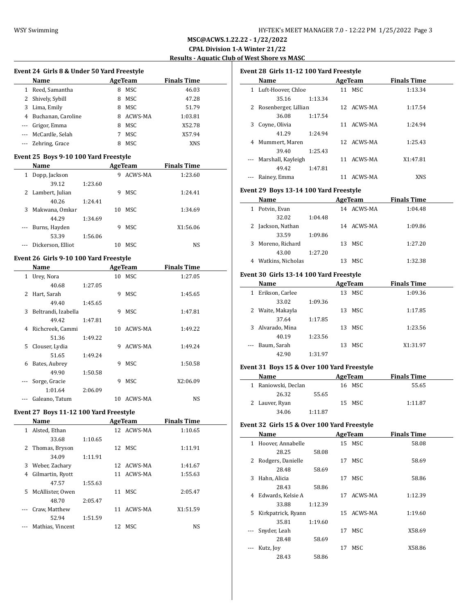$\overline{a}$ 

 $\overline{a}$ 

## **MSC@ACWS.1.22.22 - 1/22/2022 CPAL Division 1-A Winter 21/22 Results - Aquatic Club of West Shore vs MASC**

 $\overline{\phantom{0}}$ 

#### **Event 24 Girls 8 & Under 50 Yard Freestyle**

|          | Name                 |   | AgeTeam    | <b>Finals Time</b> |  |
|----------|----------------------|---|------------|--------------------|--|
|          | 1 Reed, Samantha     | 8 | MSC        | 46.03              |  |
|          | 2 Shively, Sybill    | 8 | MSC        | 47.28              |  |
|          | 3 Lima, Emily        | 8 | MSC        | 51.79              |  |
|          | 4 Buchanan, Caroline | 8 | ACWS-MA    | 1:03.81            |  |
| $\cdots$ | Grigor, Emma         | 8 | MSC        | X52.78             |  |
|          | --- McCardle, Selah  | 7 | MSC        | X57.94             |  |
|          | --- Zehring, Grace   | 8 | <b>MSC</b> | XNS                |  |

### **Event 25 Boys 9-10 100 Yard Freestyle**

|   | Name              |         |    | AgeTeam | <b>Finals Time</b> |  |
|---|-------------------|---------|----|---------|--------------------|--|
| 1 | Dopp, Jackson     |         | 9  | ACWS-MA | 1:23.60            |  |
|   | 39.12             | 1:23.60 |    |         |                    |  |
| 2 | Lambert, Julian   |         | 9  | MSC.    | 1:24.41            |  |
|   | 40.26             | 1:24.41 |    |         |                    |  |
| 3 | Makwana, Omkar    |         | 10 | MSC.    | 1:34.69            |  |
|   | 44.29             | 1:34.69 |    |         |                    |  |
|   | Burns, Hayden     |         | 9  | MSC     | X1:56.06           |  |
|   | 53.39             | 1:56.06 |    |         |                    |  |
|   | Dickerson, Elliot |         | 10 | MSC.    | NS                 |  |

### **Event 26 Girls 9-10 100 Yard Freestyle**

|   | Name                |         |    | AgeTeam    | <b>Finals Time</b> |  |  |
|---|---------------------|---------|----|------------|--------------------|--|--|
| 1 | Urey, Nora          |         |    | 10 MSC     | 1:27.05            |  |  |
|   | 40.68               | 1:27.05 |    |            |                    |  |  |
| 2 | Hart, Sarah         |         | 9  | <b>MSC</b> | 1:45.65            |  |  |
|   | 49.40               | 1:45.65 |    |            |                    |  |  |
| 3 | Beltrandi, Izabella |         | 9  | <b>MSC</b> | 1:47.81            |  |  |
|   | 49.42               | 1:47.81 |    |            |                    |  |  |
| 4 | Richcreek, Cammi    |         | 10 | ACWS-MA    | 1:49.22            |  |  |
|   | 51.36               | 1:49.22 |    |            |                    |  |  |
| 5 | Clouser, Lydia      |         | 9  | ACWS-MA    | 1:49.24            |  |  |
|   | 51.65               | 1:49.24 |    |            |                    |  |  |
| 6 | Bates, Aubrey       |         | 9  | <b>MSC</b> | 1:50.58            |  |  |
|   | 49.90               | 1:50.58 |    |            |                    |  |  |
|   | Sorge, Gracie       |         | 9  | <b>MSC</b> | X2:06.09           |  |  |
|   | 1:01.64             | 2:06.09 |    |            |                    |  |  |
|   | Galeano, Tatum      |         | 10 | ACWS-MA    | NS                 |  |  |

### **Event 27 Boys 11-12 100 Yard Freestyle**

|              | Name             |         |     | AgeTeam    | <b>Finals Time</b> |  |
|--------------|------------------|---------|-----|------------|--------------------|--|
| $\mathbf{1}$ | Alsted, Ethan    |         |     | 12 ACWS-MA | 1:10.65            |  |
|              | 33.68            | 1:10.65 |     |            |                    |  |
|              | 2 Thomas, Bryson |         |     | 12 MSC     | 1:11.91            |  |
|              | 34.09            | 1:11.91 |     |            |                    |  |
| 3            | Weber, Zachary   |         | 12  | ACWS-MA    | 1:41.67            |  |
| 4            | Gilmartin, Ryott |         |     | 11 ACWS-MA | 1:55.63            |  |
|              | 47.57            | 1:55.63 |     |            |                    |  |
| 5.           | McAllister, Owen |         | 11  | MSC.       | 2:05.47            |  |
|              | 48.70            | 2:05.47 |     |            |                    |  |
|              | Craw, Matthew    |         | 11  | ACWS-MA    | X1:51.59           |  |
|              | 52.94            | 1:51.59 |     |            |                    |  |
|              | Mathias, Vincent |         | 12. | MSC.       | NS                 |  |
|              |                  |         |     |            |                    |  |

| Event 28 Girls 11-12 100 Yard Freestyle |                        |         |    |            |                    |  |  |  |
|-----------------------------------------|------------------------|---------|----|------------|--------------------|--|--|--|
|                                         | Name                   |         |    | AgeTeam    | <b>Finals Time</b> |  |  |  |
| $\mathbf{1}$                            | Luft-Hoover, Chloe     |         |    | 11 MSC     | 1:13.34            |  |  |  |
|                                         | 35.16                  | 1:13.34 |    |            |                    |  |  |  |
|                                         | 2 Rosenberger, Lillian |         |    | 12 ACWS-MA | 1:17.54            |  |  |  |
|                                         | 36.08                  | 1:17.54 |    |            |                    |  |  |  |
| 3                                       | Coyne, Olivia          |         | 11 | ACWS-MA    | 1:24.94            |  |  |  |
|                                         | 41.29                  | 1:24.94 |    |            |                    |  |  |  |
| 4                                       | Mummert, Maren         |         |    | 12 ACWS-MA | 1:25.43            |  |  |  |
|                                         | 39.40                  | 1:25.43 |    |            |                    |  |  |  |
|                                         | --- Marshall, Kayleigh |         | 11 | ACWS-MA    | X1:47.81           |  |  |  |
|                                         | 49.42                  | 1:47.81 |    |            |                    |  |  |  |
|                                         | Rainey, Emma           |         | 11 | ACWS-MA    | XNS                |  |  |  |

### **Event 29 Boys 13-14 100 Yard Freestyle**

|   | Name              | AgeTeam |    |            | <b>Finals Time</b> |  |
|---|-------------------|---------|----|------------|--------------------|--|
| 1 | Potvin, Evan      |         |    | 14 ACWS-MA | 1:04.48            |  |
|   | 32.02             | 1:04.48 |    |            |                    |  |
|   | Jackson, Nathan   |         | 14 | ACWS-MA    | 1:09.86            |  |
|   | 33.59             | 1:09.86 |    |            |                    |  |
| 3 | Moreno, Richard   |         | 13 | MSC        | 1:27.20            |  |
|   | 43.00             | 1:27.20 |    |            |                    |  |
| 4 | Watkins, Nicholas |         |    | MSC.       | 1:32.38            |  |

#### **Event 30 Girls 13-14 100 Yard Freestyle**

| Name                            |         |     | AgeTeam | <b>Finals Time</b> |
|---------------------------------|---------|-----|---------|--------------------|
| Erikson, Carlee<br>$\mathbf{1}$ |         |     | 13 MSC  | 1:09.36            |
| 33.02                           | 1:09.36 |     |         |                    |
| 2 Waite, Makayla                |         | 13. | MSC     | 1:17.85            |
| 37.64                           | 1:17.85 |     |         |                    |
| 3 Alvarado, Mina                |         | 13. | MSC     | 1:23.56            |
| 40.19                           | 1:23.56 |     |         |                    |
| Baum, Sarah<br>$\cdots$         |         | 13  | MSC     | X1:31.97           |
| 42.90                           | 1:31.97 |     |         |                    |

### **Event 31 Boys 15 & Over 100 Yard Freestyle**

| <b>Name</b>         |         | AgeTeam |        | <b>Finals Time</b> |
|---------------------|---------|---------|--------|--------------------|
| 1 Raniowski, Declan |         |         | 16 MSC | 55.65              |
| 26.32               | 55.65   |         |        |                    |
| 2 Lauver, Ryan      |         |         | 15 MSC | 1:11.87            |
| 34.06               | 1:11.87 |         |        |                    |

### **Event 32 Girls 15 & Over 100 Yard Freestyle**

| Name     |                    |         | <b>AgeTeam</b> |            | <b>Finals Time</b> |  |
|----------|--------------------|---------|----------------|------------|--------------------|--|
| 1        | Hoover, Annabelle  |         |                | 15 MSC     | 58.08              |  |
|          | 28.25              | 58.08   |                |            |                    |  |
| 2        | Rodgers, Danielle  |         | 17             | MSC        | 58.69              |  |
|          | 28.48              | 58.69   |                |            |                    |  |
| 3        | Hahn, Alicia       |         | 17             | MSC        | 58.86              |  |
|          | 28.43              | 58.86   |                |            |                    |  |
| 4        | Edwards, Kelsie A  |         | 17             | ACWS-MA    | 1:12.39            |  |
|          | 33.88              | 1:12.39 |                |            |                    |  |
| 5.       | Kirkpatrick, Ryann |         |                | 15 ACWS-MA | 1:19.60            |  |
|          | 35.81              | 1:19.60 |                |            |                    |  |
| $\cdots$ | Snyder, Leah       |         | 17             | MSC        | X58.69             |  |
|          | 28.48              | 58.69   |                |            |                    |  |
|          | Kutz, Joy          |         | 17             | MSC        | X58.86             |  |
|          | 28.43              | 58.86   |                |            |                    |  |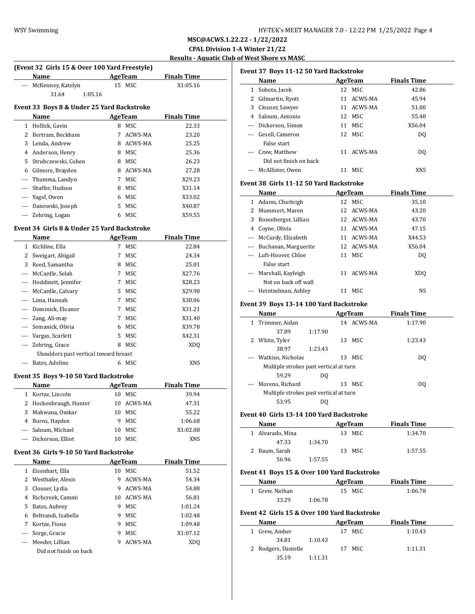**MSC@ACWS.1.22.22 - 1/22/2022 CPAL Division 1-A Winter 21/22 Results - Aquatic Club of West Shore vs MASC**

#### **(Event 32 Girls 15 & Over 100 Yard Freestyle)**

| (Event 32 Girls 15 & Over 100 Yard Freestyle) |                     |         |                |                    |  |  |  |  |  |
|-----------------------------------------------|---------------------|---------|----------------|--------------------|--|--|--|--|--|
|                                               | Name                |         | <b>AgeTeam</b> | <b>Finals Time</b> |  |  |  |  |  |
|                                               | McKenney, Katelyn   |         | 15 MSC         | X1:05.16           |  |  |  |  |  |
|                                               | 31.64               | 1:05.16 |                |                    |  |  |  |  |  |
| Event 33 Boys 8 & Under 25 Yard Backstroke    |                     |         |                |                    |  |  |  |  |  |
|                                               | Name                |         | AgeTeam        | <b>Finals Time</b> |  |  |  |  |  |
| 1.                                            | Hollick, Gavin      | 8       | <b>MSC</b>     | 22.33              |  |  |  |  |  |
| 2                                             | Bertram, Beckham    | 7       | ACWS-MA        | 23.20              |  |  |  |  |  |
| 3                                             | Lenda, Andrew       | 8       | ACWS-MA        | 25.25              |  |  |  |  |  |
| 4                                             | Anderson, Henry     | 8       | MSC            | 25.36              |  |  |  |  |  |
| 5.                                            | Strubczewski, Cohen | 8       | MSC            | 26.23              |  |  |  |  |  |
| 6                                             | Gilmore, Brayden    | 8       | ACWS-MA        | 27.28              |  |  |  |  |  |
| ---                                           | Thumma, Landyn      | 7       | <b>MSC</b>     | X29.23             |  |  |  |  |  |
| ---                                           | Shaffer, Hudson     | 8       | MSC            | X31.14             |  |  |  |  |  |
|                                               | Yagel, Owen         | 6       | MSC            | X33.02             |  |  |  |  |  |
| ---                                           | Danowski, Joseph    | 5.      | MSC            | X40.87             |  |  |  |  |  |
|                                               | Zehring, Logan      | 6       | MSC            | X59.55             |  |  |  |  |  |
|                                               |                     |         |                |                    |  |  |  |  |  |

## **Event 34 Girls 8 & Under 25 Yard Backstroke**

|          | Name                                  |    | <b>AgeTeam</b> | <b>Finals Time</b> |
|----------|---------------------------------------|----|----------------|--------------------|
| 1        | Kichline, Ella                        | 7  | MSC            | 22.84              |
| 2        | Sweigart, Abigail                     | 7  | MSC            | 24.34              |
| 3        | Reed, Samantha                        | 8  | MSC            | 25.01              |
| $---$    | McCardle, Selah                       | 7  | MSC            | X27.76             |
|          | Hoddinett, Jennifer                   | 7  | MSC            | X28.23             |
|          | McCardle, Calvary                     | 5. | MSC            | X29.90             |
| $\cdots$ | Lima, Hannah                          | 7  | MSC            | X30.06             |
|          | Dominick, Eleanor                     | 7  | MSC            | X31.21             |
|          | Zang, Ali-may                         | 7  | MSC            | X31.40             |
|          | Semanick, Olivia                      | 6  | MSC            | X39.78             |
|          | Vargas, Scarlett                      | 5. | MSC            | X42.31             |
|          | Zehring, Grace                        | 8  | MSC            | XD <sub>0</sub>    |
|          | Shoulders past vertical toward breast |    |                |                    |
|          | Bates, Adeline                        | 6  | MSC            | XNS                |

#### **Event 35 Boys 9-10 50 Yard Backstroke**

| <b>Name</b>            |    | AgeTeam    | <b>Finals Time</b> |  |
|------------------------|----|------------|--------------------|--|
| 1 Kortze, Lincoln      | 10 | MSC.       | 39.94              |  |
| 2 Hockenbraugh, Hunter |    | 10 ACWS-MA | 47.31              |  |
| 3 Makwana, Omkar       | 10 | MSC        | 55.22              |  |
| 4 Burns, Hayden        |    | MSC        | 1:06.68            |  |
| --- Saloum, Michael    | 10 | MSC.       | X1:02.08           |  |
| --- Dickerson, Elliot  |    | MSC.       | XNS                |  |

#### **Event 36 Girls 9-10 50 Yard Backstroke**

|   | <b>Name</b>            |    | AgeTeam        | <b>Finals Time</b> |  |
|---|------------------------|----|----------------|--------------------|--|
|   | Eisenhart, Ella        | 10 | MSC.           | 51.52              |  |
|   | Westhafer, Alexis      | 9  | ACWS-MA        | 54.34              |  |
| 3 | Clouser, Lydia         | 9  | <b>ACWS-MA</b> | 54.88              |  |
| 4 | Richcreek, Cammi       | 10 | ACWS-MA        | 56.81              |  |
| 5 | Bates, Aubrey          | 9  | <b>MSC</b>     | 1:01.24            |  |
| 6 | Beltrandi, Izabella    | 9  | MSC            | 1:02.48            |  |
| 7 | Kortze, Fiona          | 9  | MSC.           | 1:09.48            |  |
|   | Sorge, Gracie          | 9  | <b>MSC</b>     | X1:07.12           |  |
|   | Meeder, Lillian        | 9  | ACWS-MA        | XD <sub>0</sub>    |  |
|   | Did not finish on back |    |                |                    |  |

|   | Event 37 Boys 11-12 50 Yard Backstroke   |            |                    |
|---|------------------------------------------|------------|--------------------|
|   | Name                                     | AgeTeam    | <b>Finals Time</b> |
|   | 1 Sobota, Jacek                          | 12 MSC     | 42.86              |
|   | 2 Gilmartin, Ryott                       | 11 ACWS-MA | 45.94              |
|   | 3 Clouser, Sawyer                        | 11 ACWS-MA | 51.00              |
|   | 4 Saloum, Antonio                        | 12 MSC     | 55.40              |
|   | --- Dickerson, Simon                     | 11 MSC     | X56.04             |
|   | --- Gesell, Cameron                      | 12 MSC     | DQ                 |
|   | False start                              |            |                    |
|   | --- Craw, Matthew                        | 11 ACWS-MA | D <sub>0</sub>     |
|   | Did not finish on back                   |            |                    |
|   | --- McAllister, Owen                     | 11 MSC     | <b>XNS</b>         |
|   | Event 38 Girls 11-12 50 Yard Backstroke  |            |                    |
|   | Name                                     | AgeTeam    | <b>Finals Time</b> |
|   | 1 Adams, Charleigh                       | 12 MSC     | 35.10              |
|   | 2 Mummert, Maren                         | 12 ACWS-MA | 43.20              |
|   | 3 Rosenberger, Lillian                   | 12 ACWS-MA | 43.70              |
|   | 4 Coyne, Olivia                          | 11 ACWS-MA | 47.15              |
|   | --- McCurdy, Elizabeth                   | 11 ACWS-MA | X44.53             |
|   | --- Buchanan, Marguerite                 | 12 ACWS-MA | X56.04             |
|   | --- Luft-Hoover, Chloe                   | 11 MSC     | DQ                 |
|   | False start                              |            |                    |
|   | --- Marshall, Kayleigh                   | 11 ACWS-MA | XDQ                |
|   | Not on back off wall                     |            |                    |
|   | --- Heintzelman, Ashley                  | 11 MSC     | NS                 |
|   | Event 39 Boys 13-14 100 Yard Backstroke  |            |                    |
|   | Name                                     | AgeTeam    | <b>Finals Time</b> |
| 1 | Trimmer, Aidan                           | 14 ACWS-MA | 1:17.90            |
|   | 37.89<br>1:17.90                         |            |                    |
|   | 2 White, Tyler                           | 13 MSC     | 1:23.43            |
|   | 38.97<br>1:23.43                         |            |                    |
|   | Watkins, Nicholas                        | 13 MSC     | D <sub>0</sub>     |
|   | Multiple strokes past vertical at turn   |            |                    |
|   | 59.29<br>D <sub>0</sub>                  |            |                    |
|   | Moreno, Richard                          | 13 MSC     | DQ                 |
|   | Multiple strokes past vertical at turn   |            |                    |
|   | 53.95<br>DO.                             |            |                    |
|   | Event 40 Girls 13-14 100 Yard Backstroke |            |                    |
|   | Name                                     | AgeTeam    | <b>Finals Time</b> |
|   | 1 Alvarado, Mina                         | 13 MSC     | 1:34.70            |
|   | 47.33<br>1:34.70                         |            |                    |
| 2 | Baum, Sarah                              | 13 MSC     | 1:57.55            |
|   | 56.96<br>1:57.55                         |            |                    |

#### **Event 41 Boys 15 & Over 100 Yard Backstroke**

| Name           |         | AgeTeam | <b>Finals Time</b> |
|----------------|---------|---------|--------------------|
| 1 Grew, Nathan |         | 15 MSC  | 1:06.78            |
| 33.29          | 1:06.78 |         |                    |

# **Event 42 Girls 15 & Over 100 Yard Backstroke**

| Name                |         | AgeTeam | <b>Finals Time</b> |
|---------------------|---------|---------|--------------------|
| 1 Grew Amber        | 17      | MSC.    | 1:10.43            |
| 34.81               | 1:10.43 |         |                    |
| 2 Rodgers, Danielle |         | 17 MSC  | 1:11.31            |
| 35.19               | 1:11.31 |         |                    |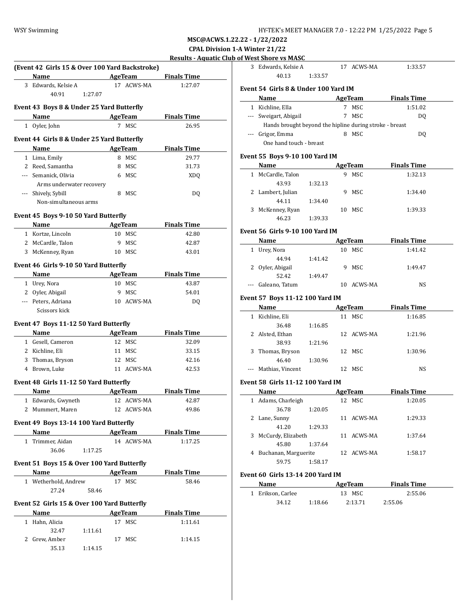| HY-TEK's MEET MANAGER 7.0 - 12:22 PM  1/25/2022  Page 5 |  |  |  |
|---------------------------------------------------------|--|--|--|
|---------------------------------------------------------|--|--|--|

|   | <b>WSY Swimming</b>                            |                |                    | HY-TEK's MEET MANAGER 7.0 - 12:22 PM 1/25/2022 Page 5                           |
|---|------------------------------------------------|----------------|--------------------|---------------------------------------------------------------------------------|
|   |                                                |                |                    | MSC@ACWS.1.22.22 - 1/22/2022                                                    |
|   |                                                |                |                    | <b>CPAL Division 1-A Winter 21/22</b>                                           |
|   |                                                |                |                    | <b>Results - Aquatic Club of West Shore vs MASC</b>                             |
|   | (Event 42 Girls 15 & Over 100 Yard Backstroke) |                |                    | 17 ACWS-MA<br>3 Edwards, Kelsie A<br>1:33.57                                    |
|   | Name                                           | AgeTeam        | <b>Finals Time</b> | 40.13<br>1:33.57                                                                |
|   | 3 Edwards, Kelsie A                            | 17 ACWS-MA     | 1:27.07            | Event 54 Girls 8 & Under 100 Yard IM                                            |
|   | 40.91<br>1:27.07                               |                |                    | <b>Finals Time</b><br>Name<br>AgeTeam                                           |
|   | Event 43 Boys 8 & Under 25 Yard Butterfly      |                |                    | 1:51.02<br>1 Kichline, Ella<br>7 MSC                                            |
|   | Name                                           | AgeTeam        | <b>Finals Time</b> | 7 MSC<br>--- Sweigart, Abigail<br>DQ                                            |
|   | 1 Oyler, John                                  | 7 MSC          | 26.95              | Hands brought beyond the hipline during stroke - breast                         |
|   |                                                |                |                    | --- Grigor, Emma<br>8 MSC<br>DQ                                                 |
|   | Event 44 Girls 8 & Under 25 Yard Butterfly     |                |                    | One hand touch - breast                                                         |
|   | Name                                           | <b>AgeTeam</b> | <b>Finals Time</b> |                                                                                 |
|   | 1 Lima, Emily                                  | 8 MSC          | 29.77              | Event 55 Boys 9-10 100 Yard IM                                                  |
|   | 2 Reed, Samantha                               | 8 MSC          | 31.73              | <b>AgeTeam</b><br><b>Finals Time</b><br>Name                                    |
|   | --- Semanick, Olivia                           | 6 MSC          | <b>XDQ</b>         | 1 McCardle, Talon<br>9 MSC<br>1:32.13                                           |
|   | Arms underwater recovery                       |                |                    | 43.93<br>1:32.13                                                                |
|   | --- Shively, Sybill                            | 8 MSC          | DQ                 | 2 Lambert, Julian<br>9 MSC<br>1:34.40                                           |
|   | Non-simultaneous arms                          |                |                    | 44.11<br>1:34.40                                                                |
|   | Event 45 Boys 9-10 50 Yard Butterfly           |                |                    | 3 McKenney, Ryan<br>10 MSC<br>1:39.33                                           |
|   | Name                                           | <b>AgeTeam</b> | <b>Finals Time</b> | 46.23<br>1:39.33                                                                |
|   | 1 Kortze, Lincoln                              | 10 MSC         | 42.80              | Event 56 Girls 9-10 100 Yard IM                                                 |
|   | 2 McCardle, Talon                              | 9 MSC          | 42.87              | <b>Finals Time</b><br>AgeTeam<br>Name                                           |
|   | 3 McKenney, Ryan                               | 10 MSC         | 43.01              | 10 MSC<br>1 Urey, Nora<br>1:41.42                                               |
|   |                                                |                |                    | 44.94<br>1:41.42                                                                |
|   | Event 46 Girls 9-10 50 Yard Butterfly          |                |                    | 9 MSC<br>2 Oyler, Abigail<br>1:49.47                                            |
|   | Name                                           | AgeTeam        | <b>Finals Time</b> | 52.42<br>1:49.47                                                                |
|   | 1 Urey, Nora                                   | 10 MSC         | 43.87              | --- Galeano, Tatum<br>10 ACWS-MA<br>NS                                          |
|   | 2 Oyler, Abigail                               | 9 MSC          | 54.01              |                                                                                 |
|   | --- Peters, Adriana                            | 10 ACWS-MA     | DQ                 | Event 57 Boys 11-12 100 Yard IM                                                 |
|   | Scissors kick                                  |                |                    | AgeTeam<br><b>Finals Time</b><br>Name                                           |
|   | Event 47 Boys 11-12 50 Yard Butterfly          |                |                    | 1 Kichline, Eli<br>11 MSC<br>1:16.85                                            |
|   | Name                                           | <b>AgeTeam</b> | <b>Finals Time</b> | 36.48<br>1:16.85                                                                |
|   | 1 Gesell, Cameron                              | 12 MSC         | 32.09              | 2 Alsted, Ethan<br>12 ACWS-MA<br>1:21.96                                        |
|   | 2 Kichline, Eli                                | 11 MSC         | 33.15              | 38.93<br>1:21.96<br>3 Thomas, Bryson<br>12 MSC<br>1:30.96                       |
| 3 | Thomas, Bryson                                 | 12 MSC         | 42.16              |                                                                                 |
|   | 4 Brown, Luke                                  | 11 ACWS-MA     | 42.53              | 46.40<br>1:30.96<br>--- Mathias, Vincent<br>12 MSC<br><b>NS</b>                 |
|   |                                                |                |                    |                                                                                 |
|   | Event 48 Girls 11-12 50 Yard Butterfly         |                |                    | <b>Event 58 Girls 11-12 100 Yard IM</b>                                         |
|   | Name                                           | <b>AgeTeam</b> | <b>Finals Time</b> | AgeTeam<br>Name<br><b>Finals Time</b>                                           |
|   | 1 Edwards, Gwyneth                             | 12 ACWS-MA     | 42.87              | 1 Adams, Charleigh<br>12 MSC<br>1:20.05                                         |
|   | 2 Mummert, Maren                               | 12 ACWS-MA     | 49.86              | 36.78<br>1:20.05                                                                |
|   |                                                |                |                    | 11 ACWS-MA<br>1:29.33<br>2 Lane, Sunny                                          |
|   | Event 49 Boys 13-14 100 Yard Butterfly         |                |                    | 41.20<br>1:29.33                                                                |
|   | Name                                           | <b>AgeTeam</b> | <b>Finals Time</b> | 3 McCurdy, Elizabeth<br>11 ACWS-MA<br>1:37.64                                   |
|   | 1 Trimmer, Aidan                               | 14 ACWS-MA     | 1:17.25            | 45.80<br>1:37.64                                                                |
|   | 36.06<br>1:17.25                               |                |                    | 4 Buchanan, Marguerite<br>12 ACWS-MA<br>1:58.17                                 |
|   | Event 51 Boys 15 & Over 100 Yard Butterfly     |                |                    | 59.75<br>1:58.17                                                                |
|   | <b>Name</b>                                    | <b>AgeTeam</b> | <b>Finals Time</b> | <b>Event 60 Girls 13-14 200 Yard IM</b>                                         |
|   | 1 Wetherhold, Andrew                           | 17 MSC         | 58.46              |                                                                                 |
|   | 27.24<br>58.46                                 |                |                    | AgeTeam<br><b>Finals Time</b><br>Name<br>1 Erikson, Carlee<br>13 MSC<br>2:55.06 |
|   |                                                |                |                    |                                                                                 |
|   | Event 52 Girls 15 & Over 100 Yard Butterfly    |                |                    | 34.12<br>1:18.66<br>2:13.71<br>2:55.06                                          |
|   | Name                                           | <b>AgeTeam</b> | <b>Finals Time</b> |                                                                                 |
|   | 1 Hahn, Alicia                                 | 17 MSC         | 1:11.61            |                                                                                 |
|   | 32.47<br>1:11.61                               |                |                    |                                                                                 |
|   | 2 Grew, Amber                                  | 17 MSC         | 1:14.15            |                                                                                 |
|   | 35.13<br>1:14.15                               |                |                    |                                                                                 |

|                                        | <u>f West Shore vs MASC</u>                                                                                                                                                                                                   |         |    |                   |                    |  |  |
|----------------------------------------|-------------------------------------------------------------------------------------------------------------------------------------------------------------------------------------------------------------------------------|---------|----|-------------------|--------------------|--|--|
|                                        | 3 Edwards, Kelsie A<br>40.13                                                                                                                                                                                                  | 1:33.57 |    | 17 ACWS-MA        | 1:33.57            |  |  |
|                                        | Event 54  Girls 8 & Under 100 Yard IM                                                                                                                                                                                         |         |    |                   |                    |  |  |
|                                        | Name                                                                                                                                                                                                                          |         |    | AgeTeam           | <b>Finals Time</b> |  |  |
|                                        | 1 Kichline, Ella                                                                                                                                                                                                              |         |    | 7 MSC             | 1:51.02            |  |  |
|                                        | --- Sweigart, Abigail                                                                                                                                                                                                         |         |    | 7 MSC             | DQ                 |  |  |
|                                        | Hands brought beyond the hipline during stroke - breast                                                                                                                                                                       |         |    |                   |                    |  |  |
|                                        | --- Grigor, Emma                                                                                                                                                                                                              |         |    | 8 MSC             | DQ                 |  |  |
|                                        | One hand touch - breast                                                                                                                                                                                                       |         |    |                   |                    |  |  |
|                                        |                                                                                                                                                                                                                               |         |    |                   |                    |  |  |
|                                        | Event 55 Boys 9-10 100 Yard IM<br>Name                                                                                                                                                                                        |         |    | <b>AgeTeam</b>    | <b>Finals Time</b> |  |  |
|                                        | 1 McCardle, Talon                                                                                                                                                                                                             |         |    | 9 MSC             | 1:32.13            |  |  |
|                                        | 43.93                                                                                                                                                                                                                         | 1:32.13 |    |                   |                    |  |  |
|                                        | 2 Lambert, Julian                                                                                                                                                                                                             |         |    | 9 MSC             | 1:34.40            |  |  |
|                                        | 44.11                                                                                                                                                                                                                         | 1:34.40 |    |                   |                    |  |  |
|                                        | 3 McKenney, Ryan                                                                                                                                                                                                              |         |    | 10 MSC            | 1:39.33            |  |  |
|                                        | 46.23                                                                                                                                                                                                                         | 1:39.33 |    |                   |                    |  |  |
|                                        |                                                                                                                                                                                                                               |         |    |                   |                    |  |  |
| Event 56  Girls 9-10 100 Yard IM       |                                                                                                                                                                                                                               |         |    |                   |                    |  |  |
|                                        | Name                                                                                                                                                                                                                          |         |    | AgeTeam           | <b>Finals Time</b> |  |  |
|                                        | 1 Urey, Nora                                                                                                                                                                                                                  |         |    | 10 MSC            | 1:41.42            |  |  |
|                                        | 44.94                                                                                                                                                                                                                         | 1:41.42 |    |                   |                    |  |  |
|                                        | 2 Oyler, Abigail                                                                                                                                                                                                              |         | 9  | MSC               | 1:49.47            |  |  |
|                                        | 52.42                                                                                                                                                                                                                         | 1:49.47 |    |                   |                    |  |  |
| --- Galeano, Tatum<br>10 ACWS-MA<br>NS |                                                                                                                                                                                                                               |         |    |                   |                    |  |  |
|                                        | <b>Event 57 Boys 11-12 100 Yard IM</b>                                                                                                                                                                                        |         |    |                   |                    |  |  |
|                                        | Name                                                                                                                                                                                                                          |         |    | AgeTeam           | <b>Finals Time</b> |  |  |
|                                        | 1 Kichline, Eli                                                                                                                                                                                                               |         |    | 11 MSC            | 1:16.85            |  |  |
|                                        | 36.48                                                                                                                                                                                                                         | 1:16.85 |    |                   |                    |  |  |
|                                        | 2 Alsted, Ethan                                                                                                                                                                                                               |         |    | 12 ACWS-MA        | 1:21.96            |  |  |
|                                        | 38.93                                                                                                                                                                                                                         | 1:21.96 |    |                   |                    |  |  |
| 3                                      | Thomas, Bryson                                                                                                                                                                                                                |         | 12 | MSC               | 1:30.96            |  |  |
|                                        | 46.40                                                                                                                                                                                                                         | 1:30.96 |    |                   |                    |  |  |
| ---                                    | Mathias, Vincent                                                                                                                                                                                                              |         |    | 12 MSC            | <b>NS</b>          |  |  |
|                                        | Event 58  Girls 11-12 100 Yard IM                                                                                                                                                                                             |         |    |                   |                    |  |  |
|                                        | Name                                                                                                                                                                                                                          |         |    | <b>AgeTeam</b>    | <b>Finals Time</b> |  |  |
|                                        | 1 Adams, Charleigh                                                                                                                                                                                                            |         |    | 12 MSC            | 1:20.05            |  |  |
|                                        | 36.78                                                                                                                                                                                                                         | 1:20.05 |    |                   |                    |  |  |
|                                        | 2 Lane, Sunny                                                                                                                                                                                                                 |         |    | 11 ACWS-MA        | 1:29.33            |  |  |
|                                        | 41.20                                                                                                                                                                                                                         | 1:29.33 |    |                   |                    |  |  |
|                                        | 3 McCurdy, Elizabeth                                                                                                                                                                                                          |         |    | 11 ACWS-MA        | 1:37.64            |  |  |
|                                        | 45.80                                                                                                                                                                                                                         | 1:37.64 |    |                   |                    |  |  |
|                                        | 4 Buchanan, Marguerite                                                                                                                                                                                                        |         |    | 12 ACWS-MA        | 1:58.17            |  |  |
|                                        | 59.75                                                                                                                                                                                                                         | 1:58.17 |    |                   |                    |  |  |
|                                        |                                                                                                                                                                                                                               |         |    |                   |                    |  |  |
|                                        | Event 60  Girls 13-14 200 Yard IM                                                                                                                                                                                             |         |    |                   |                    |  |  |
|                                        |                                                                                                                                                                                                                               |         |    | AgeTeam           | <b>Finals Time</b> |  |  |
|                                        | Name and the same state of the state of the state of the state of the state of the state of the state of the state of the state of the state of the state of the state of the state of the state of the state of the state of |         |    |                   |                    |  |  |
|                                        | 1 Erikson, Carlee<br>34.12                                                                                                                                                                                                    | 1:18.66 |    | 13 MSC<br>2:13.71 | 2:55.06<br>2:55.06 |  |  |